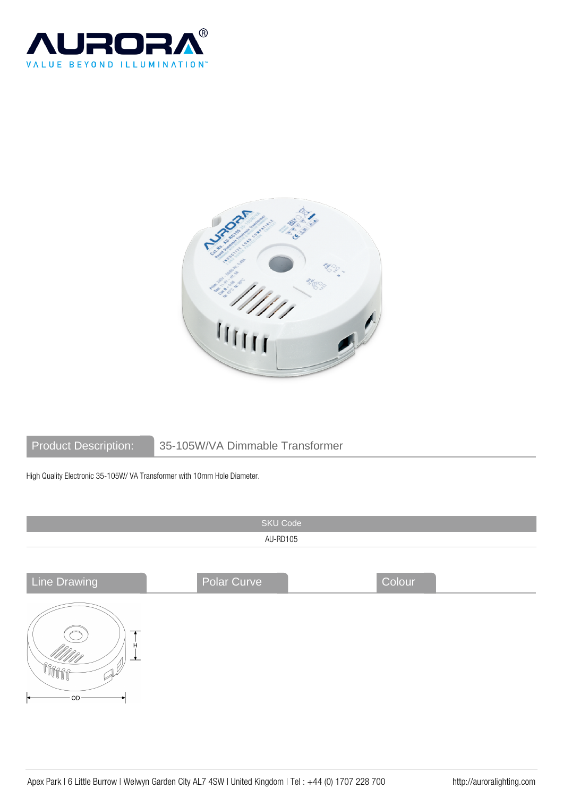



## Product Description: 35-105W/VA Dimmable Transformer

High Quality Electronic 35-105W/ VA Transformer with 10mm Hole Diameter.